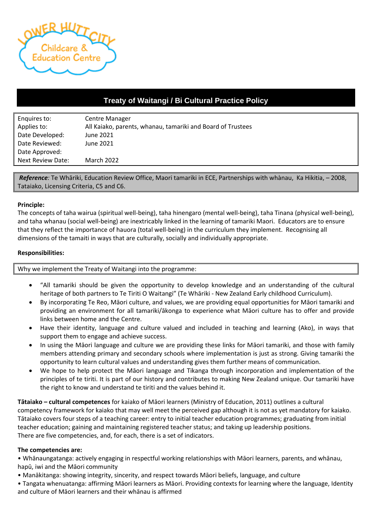

# **Treaty of Waitangi / Bi Cultural Practice Policy**

| Enquires to:             | <b>Centre Manager</b>                                       |
|--------------------------|-------------------------------------------------------------|
| Applies to:              | All Kaiako, parents, whanau, tamariki and Board of Trustees |
| Date Developed:          | June 2021                                                   |
| Date Reviewed:           | June 2021                                                   |
| Date Approved:           |                                                             |
| <b>Next Review Date:</b> | <b>March 2022</b>                                           |

*Reference:* Te Whāriki, Education Review Office, Maori tamariki in ECE, Partnerships with whànau, Ka Hikitia, – 2008, Tataiako, Licensing Criteria, C5 and C6.

#### **Principle:**

The concepts of taha wairua (spiritual well-being), taha hinengaro (mental well-being), taha Tinana (physical well-being), and taha whanau (social well-being) are inextricably linked in the learning of tamariki Maori. Educators are to ensure that they reflect the importance of hauora (total well-being) in the curriculum they implement. Recognising all dimensions of the tamaiti in ways that are culturally, socially and individually appropriate.

#### **Responsibilities:**

Why we implement the Treaty of Waitangi into the programme:

- "All tamariki should be given the opportunity to develop knowledge and an understanding of the cultural heritage of both partners to Te Tiriti O Waitangi" (Te Whāriki - New Zealand Early childhood Curriculum).
- By incorporating Te Reo, Māori culture, and values, we are providing equal opportunities for Māori tamariki and providing an environment for all tamariki/ākonga to experience what Māori culture has to offer and provide links between home and the Centre.
- Have their identity, language and culture valued and included in teaching and learning (Ako), in ways that support them to engage and achieve success.
- In using the Māori language and culture we are providing these links for Māori tamariki, and those with family members attending primary and secondary schools where implementation is just as strong. Giving tamariki the opportunity to learn cultural values and understanding gives them further means of communication.
- We hope to help protect the Māori language and Tikanga through incorporation and implementation of the principles of te tiriti. It is part of our history and contributes to making New Zealand unique. Our tamariki have the right to know and understand te tiriti and the values behind it.

**Tātaiako – cultural competences** for kaiako of Māori learners (Ministry of Education, 2011) outlines a cultural competency framework for kaiako that may well meet the perceived gap although it is not as yet mandatory for kaiako. Tātaiako covers four steps of a teaching career: entry to initial teacher education programmes; graduating from initial teacher education; gaining and maintaining registered teacher status; and taking up leadership positions. There are five competencies, and, for each, there is a set of indicators.

#### **The competencies are:**

• Whānaungatanga: actively engaging in respectful working relationships with Māori learners, parents, and whānau, hapū, iwi and the Māori community

- Manākitanga: showing integrity, sincerity, and respect towards Māori beliefs, language, and culture
- Tangata whenuatanga: affirming Māori learners as Māori. Providing contexts for learning where the language, Identity and culture of Māori learners and their whānau is affirmed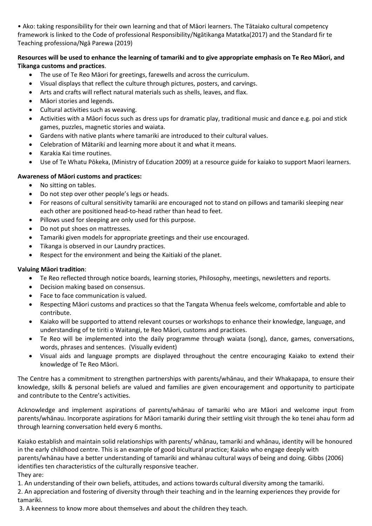• Ako: taking responsibility for their own learning and that of Māori learners. The Tātaiako cultural competency framework is linked to the Code of professional Responsibility/Ngātikanga Matatka(2017) and the Standard fir te Teaching professiona/Ngā Parewa (2019)

## **Resources will be used to enhance the learning of tamariki and to give appropriate emphasis on Te Reo Māori, and Tikanga customs and practices**.

- The use of Te Reo Māori for greetings, farewells and across the curriculum.
- Visual displays that reflect the culture through pictures, posters, and carvings.
- Arts and crafts will reflect natural materials such as shells, leaves, and flax.
- Māori stories and legends.
- Cultural activities such as weaving.
- Activities with a Māori focus such as dress ups for dramatic play, traditional music and dance e.g. poi and stick games, puzzles, magnetic stories and waiata.
- Gardens with native plants where tamariki are introduced to their cultural values.
- Celebration of Mātariki and learning more about it and what it means.
- Karakia Kai time routines.
- Use of Te Whatu Pōkeka, (Ministry of Education 2009) at a resource guide for kaiako to support Maori learners.

## **Awareness of Māori customs and practices:**

- No sitting on tables.
- Do not step over other people's legs or heads.
- For reasons of cultural sensitivity tamariki are encouraged not to stand on pillows and tamariki sleeping near each other are positioned head-to-head rather than head to feet.
- Pillows used for sleeping are only used for this purpose.
- Do not put shoes on mattresses.
- Tamariki given models for appropriate greetings and their use encouraged.
- Tikanga is observed in our Laundry practices.
- Respect for the environment and being the Kaitiaki of the planet.

## **Valuing Māori tradition**:

- Te Reo reflected through notice boards, learning stories, Philosophy, meetings, newsletters and reports.
- Decision making based on consensus.
- Face to face communication is valued.
- Respecting Māori customs and practices so that the Tangata Whenua feels welcome, comfortable and able to contribute.
- Kaiako will be supported to attend relevant courses or workshops to enhance their knowledge, language, and understanding of te tiriti o Waitangi, te Reo Māori, customs and practices.
- Te Reo will be implemented into the daily programme through waiata (song), dance, games, conversations, words, phrases and sentences. (Visually evident)
- Visual aids and language prompts are displayed throughout the centre encouraging Kaiako to extend their knowledge of Te Reo Māori.

The Centre has a commitment to strengthen partnerships with parents/whānau, and their Whakapapa, to ensure their knowledge, skills & personal beliefs are valued and families are given encouragement and opportunity to participate and contribute to the Centre's activities.

Acknowledge and implement aspirations of parents/whānau of tamariki who are Māori and welcome input from parents/whānau. Incorporate aspirations for Māori tamariki during their settling visit through the ko tenei ahau form ad through learning conversation held every 6 months.

Kaiako establish and maintain solid relationships with parents/ whānau, tamariki and whānau, identity will be honoured in the early childhood centre. This is an example of good bicultural practice; Kaiako who engage deeply with parents/whānau have a better understanding of tamariki and whànau cultural ways of being and doing. Gibbs (2006) identifies ten characteristics of the culturally responsive teacher. They are:

1. An understanding of their own beliefs, attitudes, and actions towards cultural diversity among the tamariki.

2. An appreciation and fostering of diversity through their teaching and in the learning experiences they provide for tamariki.

3. A keenness to know more about themselves and about the children they teach.